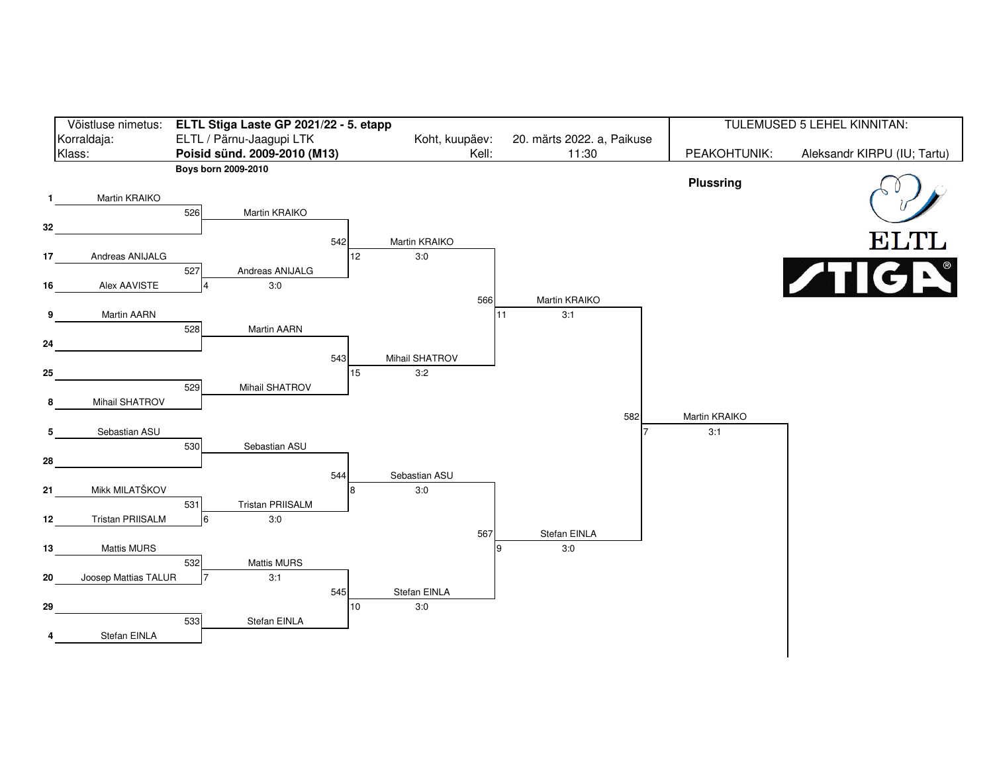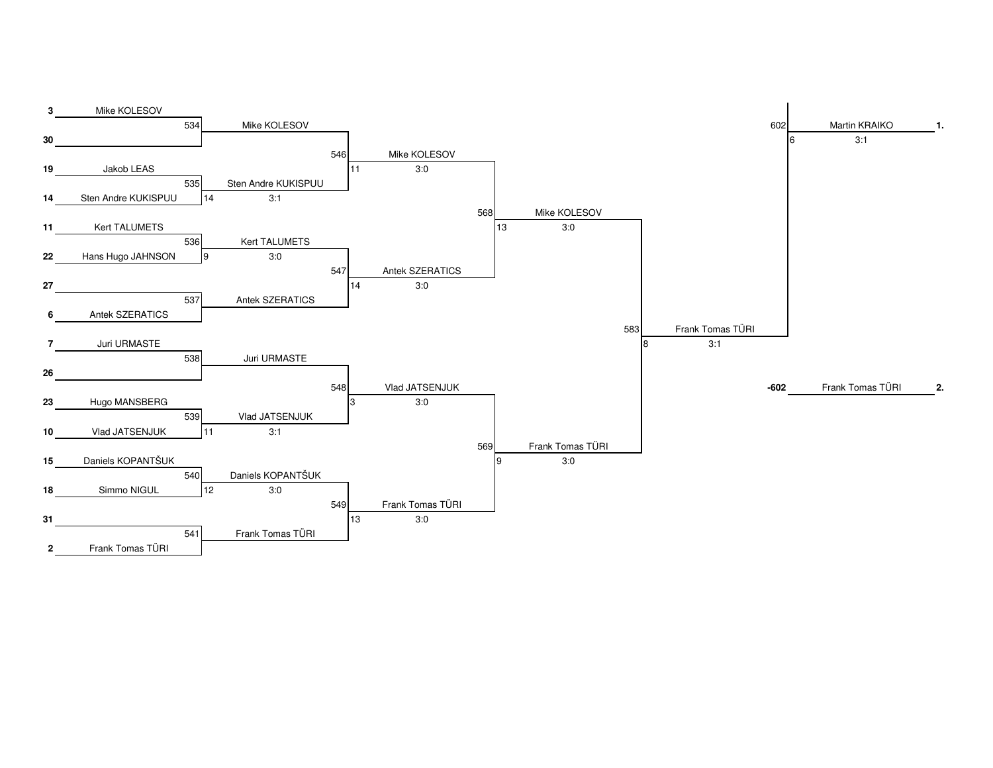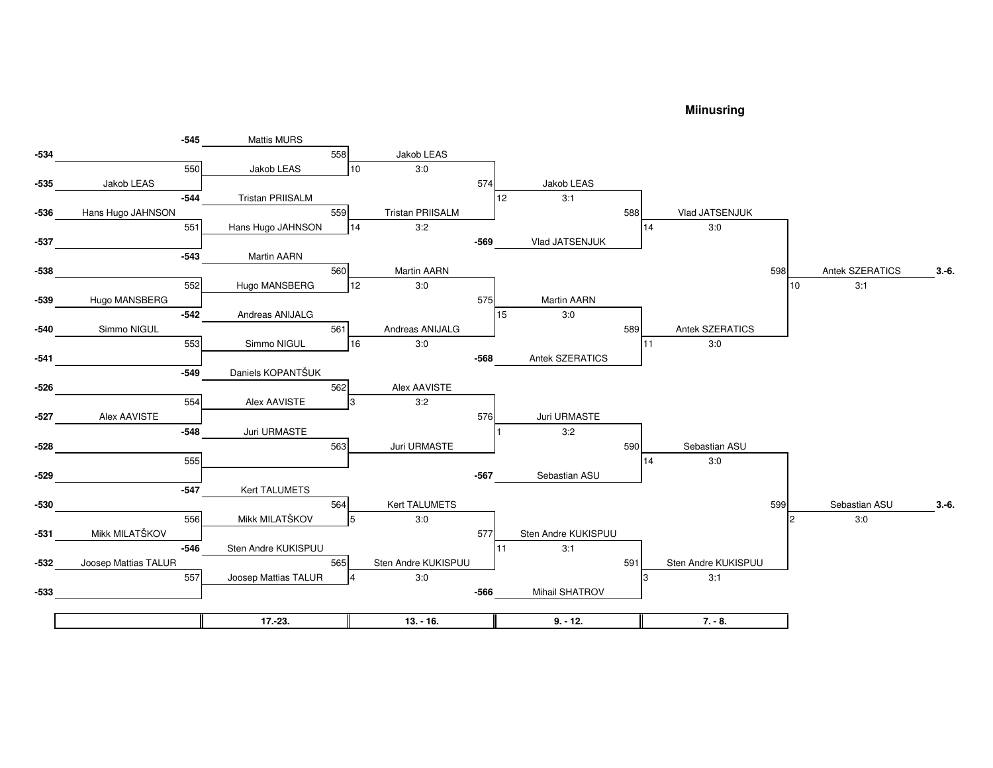## **Miinusring**

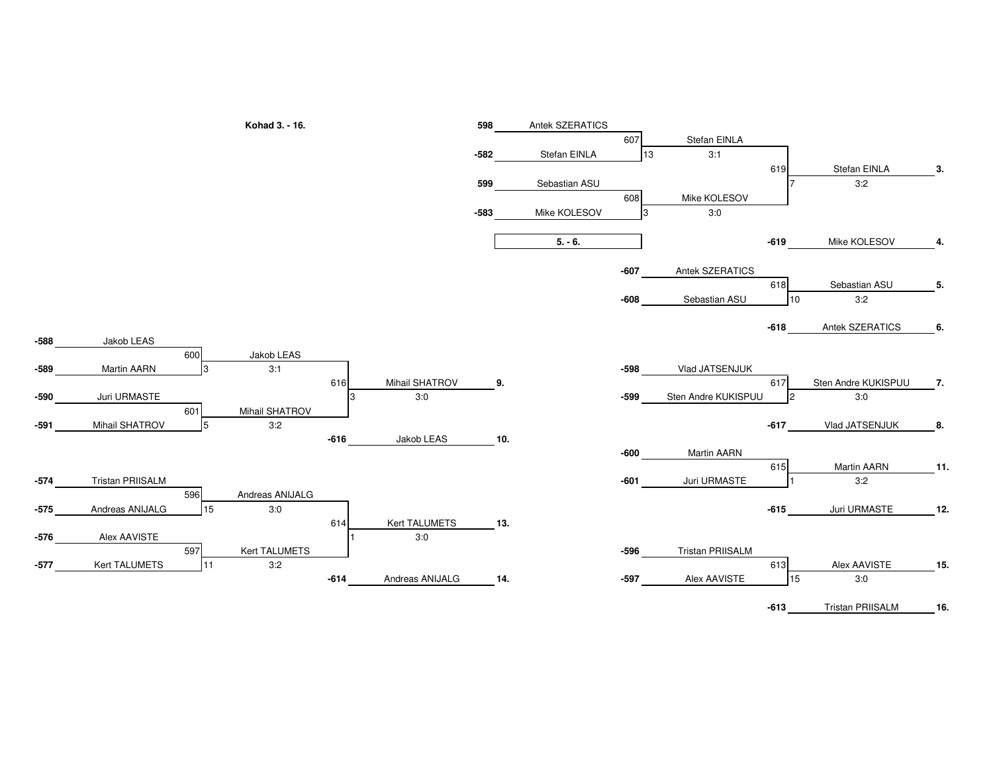